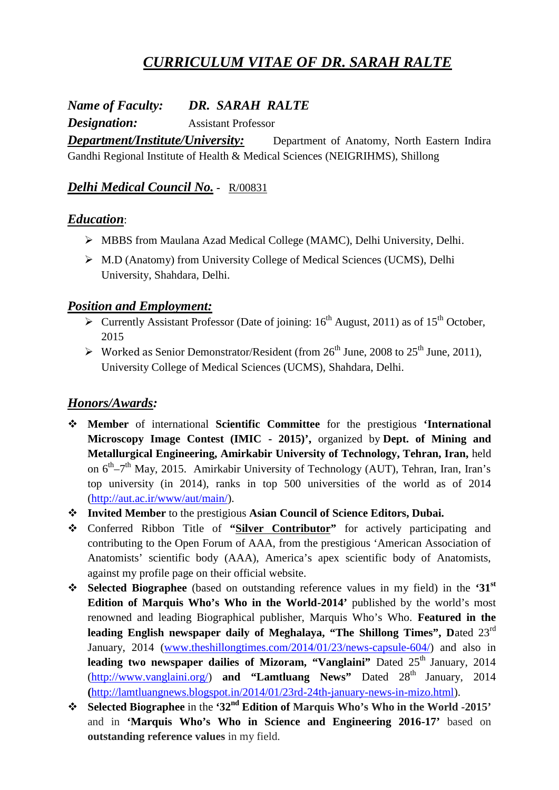# *CURRICULUM VITAE OF DR. SARAH RALTE*

*Name of Faculty: DR. SARAH RALTE*

*Designation:* Assistant Professor

*Department/Institute/University:* Department of Anatomy, North Eastern Indira Gandhi Regional Institute of Health & Medical Sciences (NEIGRIHMS), Shillong

## *Delhi Medical Council No.* **-** R/00831

#### *Education*:

- MBBS from Maulana Azad Medical College (MAMC), Delhi University, Delhi.
- M.D (Anatomy) from University College of Medical Sciences (UCMS), Delhi University, Shahdara, Delhi.

#### *Position and Employment:*

- $\triangleright$  Currently Assistant Professor (Date of joining: 16<sup>th</sup> August, 2011) as of 15<sup>th</sup> October, 2015
- $\triangleright$  Worked as Senior Demonstrator/Resident (from 26<sup>th</sup> June, 2008 to 25<sup>th</sup> June, 2011), University College of Medical Sciences (UCMS), Shahdara, Delhi.

# *Honors/Awards:*

- **Member** of international **Scientific Committee** for the prestigious **'International Microscopy Image Contest (IMIC - 2015)',** organized by **Dept. of Mining and Metallurgical Engineering, Amirkabir University of Technology, Tehran, Iran,** held on 6<sup>th</sup>–7<sup>th</sup> May, 2015. Amirkabir University of Technology (AUT), Tehran, Iran, Iran's top university (in 2014), ranks in top 500 universities of the world as of 2014 (http://aut.ac.ir/www/aut/main/).
- **Invited Member** to the prestigious **Asian Council of Science Editors, Dubai.**
- Conferred Ribbon Title of **"Silver Contributor"** for actively participating and contributing to the Open Forum of AAA, from the prestigious 'American Association of Anatomists' scientific body (AAA), America's apex scientific body of Anatomists, against my profile page on their official website.
- **Selected Biographee** (based on outstanding reference values in my field) in the **'31st Edition of Marquis Who's Who in the World-2014'** published by the world's most renowned and leading Biographical publisher, Marquis Who's Who. **Featured in the leading English newspaper daily of Meghalaya, "The Shillong Times", D**ated 23rd January, 2014 (www.theshillongtimes.com/2014/01/23/news-capsule-604/) and also in leading two newspaper dailies of Mizoram, "Vanglaini" Dated 25<sup>th</sup> January, 2014 (http://www.vanglaini.org/) and "Lamtluang News" Dated 28<sup>th</sup> January, 2014 **(**http://lamtluangnews.blogspot.in/2014/01/23rd-24th-january-news-in-mizo.html).
- **Selected Biographee** in the **'32nd Edition of Marquis Who's Who in the World -2015'** and in **'Marquis Who's Who in Science and Engineering 2016-17'** based on **outstanding reference values** in my field.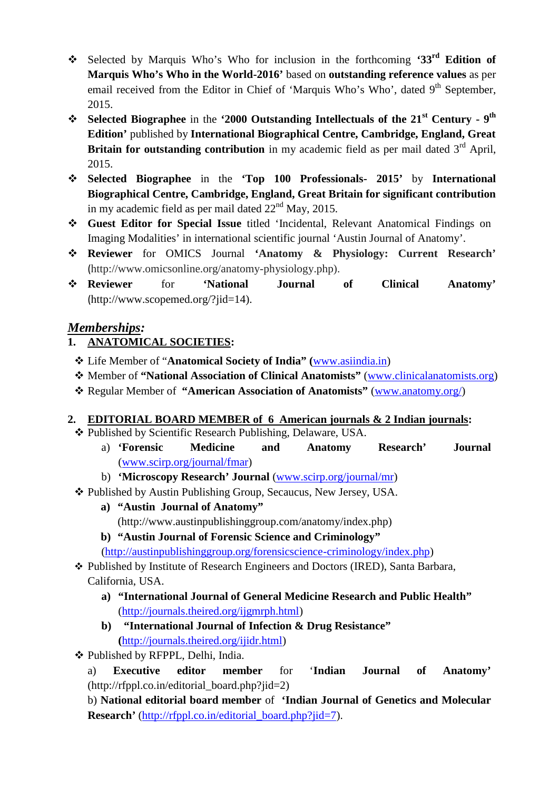- Selected by Marquis Who's Who for inclusion in the forthcoming **'33rd Edition of Marquis Who's Who in the World-2016'** based on **outstanding reference values** as per email received from the Editor in Chief of 'Marquis Who's Who', dated 9<sup>th</sup> September, 2015.
- **Selected Biographee** in the **'2000 Outstanding Intellectuals of the 21st Century - 9 th Edition'** published by **International Biographical Centre, Cambridge, England, Great Britain for outstanding contribution** in my academic field as per mail dated 3<sup>rd</sup> April, 2015.
- **Selected Biographee** in the **'Top 100 Professionals- 2015'** by **International Biographical Centre, Cambridge, England, Great Britain for significant contribution** in my academic field as per mail dated  $22<sup>nd</sup>$  May, 2015.
- **Guest Editor for Special Issue** titled 'Incidental, Relevant Anatomical Findings on Imaging Modalities' in international scientific journal 'Austin Journal of Anatomy'.
- **Reviewer** for OMICS Journal **'Anatomy & Physiology: Current Research'** (http://www.omicsonline.org/anatomy-physiology.php).
- **Reviewer** for **'National Journal of Clinical Anatomy'** (http://www.scopemed.org/?jid=14).

# *Memberships:*

# **1. ANATOMICAL SOCIETIES:**

- Life Member of "**Anatomical Society of India" (**www.asiindia.in)
- Member of **"National Association of Clinical Anatomists"** (www.clinicalanatomists.org)
- Regular Member of **"American Association of Anatomists"** (www.anatomy.org/)

#### **2. EDITORIAL BOARD MEMBER of 6 American journals & 2 Indian journals:**

- Published by Scientific Research Publishing, Delaware, USA.
	- a) **'Forensic Medicine and Anatomy Research' Journal** (www.scirp.org/journal/fmar)
	- b) **'Microscopy Research' Journal** (www.scirp.org/journal/mr)
- Published by Austin Publishing Group, Secaucus, New Jersey, USA.
	- **a) "Austin Journal of Anatomy"** (http://www.austinpublishinggroup.com/anatomy/index.php)
	- **b) "Austin Journal of Forensic Science and Criminology"** (http://austinpublishinggroup.org/forensicscience-criminology/index.php)
- Published by Institute of Research Engineers and Doctors (IRED), Santa Barbara, California, USA.
	- **a) "International Journal of General Medicine Research and Public Health"** (http://journals.theired.org/ijgmrph.html)
	- **b) "International Journal of Infection & Drug Resistance" (**http://journals.theired.org/ijidr.html)
- Published by RFPPL, Delhi, India.
	- a) **Executive editor member** for '**Indian Journal of Anatomy'** (http://rfppl.co.in/editorial\_board.php?jid=2)

b) **National editorial board member** of **'Indian Journal of Genetics and Molecular Research'** (http://rfppl.co.in/editorial\_board.php?jid=7).